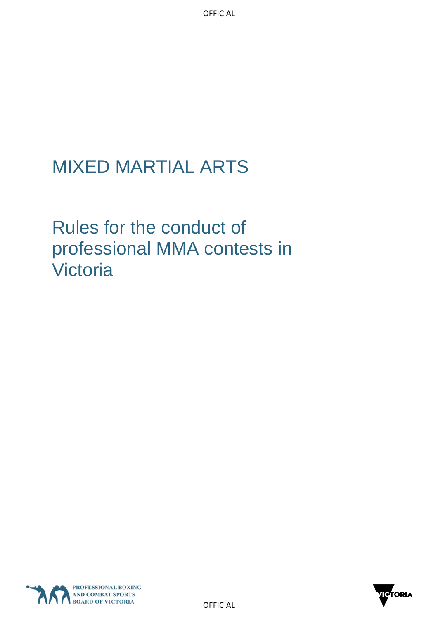# MIXED MARTIAL ARTS

Rules for the conduct of professional MMA contests in Victoria



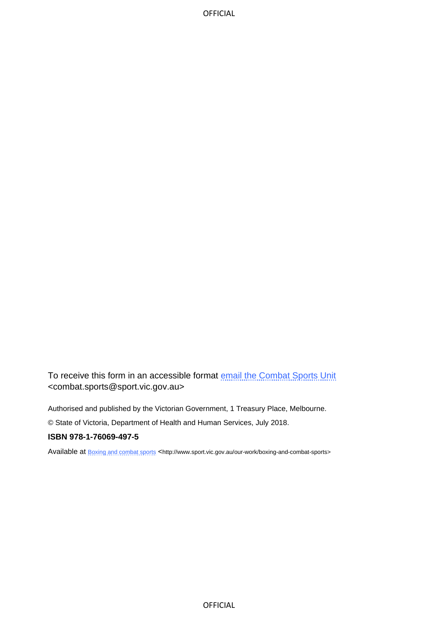To receive this form in an accessible format [email the Combat Sports Unit](mailto:combat.sports@sport.vic.gov.au) <combat.sports@sport.vic.gov.au>

Authorised and published by the Victorian Government, 1 Treasury Place, Melbourne.

© State of Victoria, Department of Health and Human Services, July 2018.

#### **ISBN 978-1-76069-497-5**

Available at **[Boxing and combat sports](http://www.sport.vic.gov.au/our-work/boxing-and-combat-sports)** <http://www.sport.vic.gov.au/our-work/boxing-and-combat-sports>

**OFFICIAL**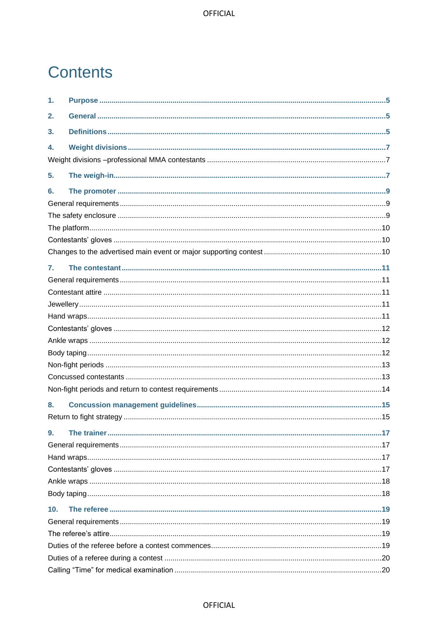## **Contents**

| 1.              |  |
|-----------------|--|
| 2.              |  |
| 3.              |  |
| 4.              |  |
|                 |  |
| 5.              |  |
| 6.              |  |
|                 |  |
|                 |  |
|                 |  |
|                 |  |
|                 |  |
| 7.              |  |
|                 |  |
|                 |  |
|                 |  |
|                 |  |
|                 |  |
|                 |  |
|                 |  |
|                 |  |
|                 |  |
|                 |  |
| 8.              |  |
|                 |  |
| 9.              |  |
|                 |  |
|                 |  |
|                 |  |
|                 |  |
|                 |  |
| 10 <sub>1</sub> |  |
|                 |  |
|                 |  |
|                 |  |
|                 |  |
|                 |  |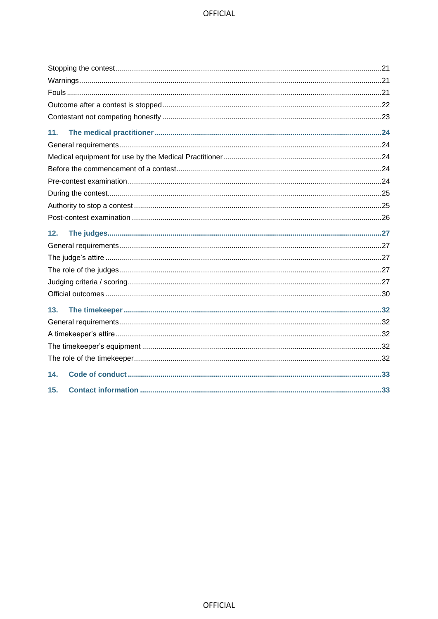| 11. |
|-----|
|     |
|     |
|     |
|     |
|     |
|     |
|     |
| 12. |
|     |
|     |
|     |
|     |
|     |
| 13. |
|     |
|     |
|     |
|     |
| 14. |
| 15. |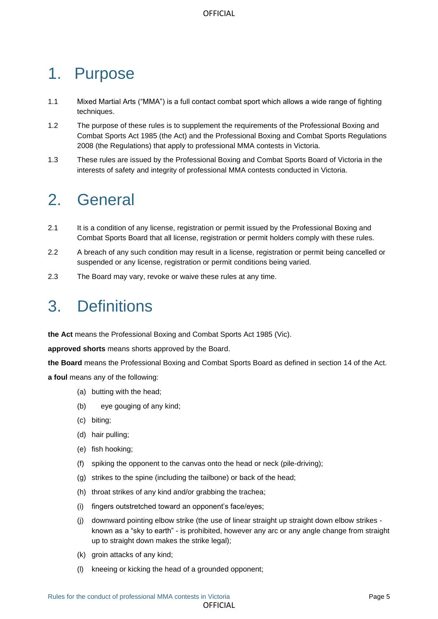# <span id="page-4-0"></span>1. Purpose

- 1.1 Mixed Martial Arts ("MMA") is a full contact combat sport which allows a wide range of fighting techniques.
- 1.2 The purpose of these rules is to supplement the requirements of the Professional Boxing and Combat Sports Act 1985 (the Act) and the Professional Boxing and Combat Sports Regulations 2008 (the Regulations) that apply to professional MMA contests in Victoria.
- 1.3 These rules are issued by the Professional Boxing and Combat Sports Board of Victoria in the interests of safety and integrity of professional MMA contests conducted in Victoria.

## <span id="page-4-1"></span>2. General

- 2.1 It is a condition of any license, registration or permit issued by the Professional Boxing and Combat Sports Board that all license, registration or permit holders comply with these rules.
- 2.2 A breach of any such condition may result in a license, registration or permit being cancelled or suspended or any license, registration or permit conditions being varied.
- 2.3 The Board may vary, revoke or waive these rules at any time.

## <span id="page-4-2"></span>3. Definitions

**the Act** means the Professional Boxing and Combat Sports Act 1985 (Vic).

**approved shorts** means shorts approved by the Board.

**the Board** means the Professional Boxing and Combat Sports Board as defined in section 14 of the Act.

**a foul** means any of the following:

- (a) butting with the head;
- (b) eye gouging of any kind;
- (c) biting;
- (d) hair pulling;
- (e) fish hooking;
- (f) spiking the opponent to the canvas onto the head or neck (pile-driving);
- (g) strikes to the spine (including the tailbone) or back of the head;
- (h) throat strikes of any kind and/or grabbing the trachea;
- (i) fingers outstretched toward an opponent's face/eyes;
- (j) downward pointing elbow strike (the use of linear straight up straight down elbow strikes known as a "sky to earth" - is prohibited, however any arc or any angle change from straight up to straight down makes the strike legal);
- (k) groin attacks of any kind;
- (l) kneeing or kicking the head of a grounded opponent;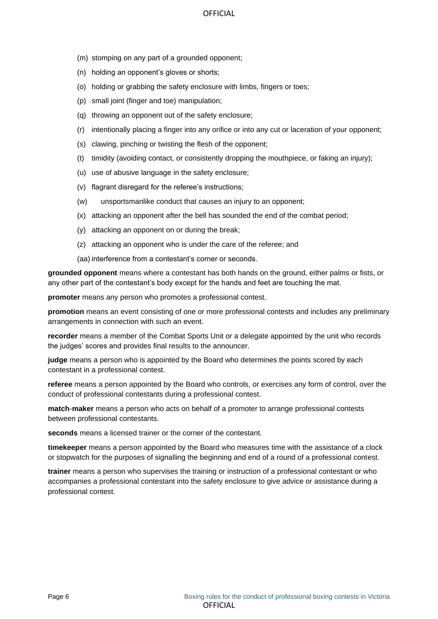- (m) stomping on any part of a grounded opponent;
- (n) holding an opponent's gloves or shorts;
- (o) holding or grabbing the safety enclosure with limbs, fingers or toes;
- (p) small joint (finger and toe) manipulation;
- (q) throwing an opponent out of the safety enclosure;
- (r) intentionally placing a finger into any orifice or into any cut or laceration of your opponent;
- (s) clawing, pinching or twisting the flesh of the opponent;
- (t) timidity (avoiding contact, or consistently dropping the mouthpiece, or faking an injury);
- (u) use of abusive language in the safety enclosure;
- (v) flagrant disregard for the referee's instructions;
- (w) unsportsmanlike conduct that causes an injury to an opponent;
- (x) attacking an opponent after the bell has sounded the end of the combat period;
- (y) attacking an opponent on or during the break;
- (z) attacking an opponent who is under the care of the referee; and
- (aa) interference from a contestant's corner or seconds.

**grounded opponent** means where a contestant has both hands on the ground, either palms or fists, or any other part of the contestant's body except for the hands and feet are touching the mat.

**promoter** means any person who promotes a professional contest.

**promotion** means an event consisting of one or more professional contests and includes any preliminary arrangements in connection with such an event.

**recorder** means a member of the Combat Sports Unit or a delegate appointed by the unit who records the judges' scores and provides final results to the announcer.

**judge** means a person who is appointed by the Board who determines the points scored by each contestant in a professional contest.

**referee** means a person appointed by the Board who controls, or exercises any form of control, over the conduct of professional contestants during a professional contest.

**match**-**maker** means a person who acts on behalf of a promoter to arrange professional contests between professional contestants.

**seconds** means a licensed trainer or the corner of the contestant.

**timekeeper** means a person appointed by the Board who measures time with the assistance of a clock or stopwatch for the purposes of signalling the beginning and end of a round of a professional contest.

**trainer** means a person who supervises the training or instruction of a professional contestant or who accompanies a professional contestant into the safety enclosure to give advice or assistance during a professional contest.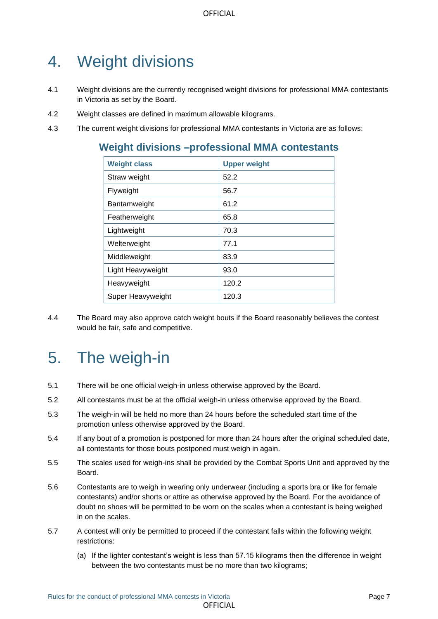## <span id="page-6-0"></span>4. Weight divisions

- 4.1 Weight divisions are the currently recognised weight divisions for professional MMA contestants in Victoria as set by the Board.
- 4.2 Weight classes are defined in maximum allowable kilograms.
- <span id="page-6-1"></span>4.3 The current weight divisions for professional MMA contestants in Victoria are as follows:

## **Weight divisions –professional MMA contestants**

| <b>Weight class</b> | <b>Upper weight</b> |
|---------------------|---------------------|
| Straw weight        | 52.2                |
| Flyweight           | 56.7                |
| Bantamweight        | 61.2                |
| Featherweight       | 65.8                |
| Lightweight         | 70.3                |
| Welterweight        | 77.1                |
| Middleweight        | 83.9                |
| Light Heavyweight   | 93.0                |
| Heavyweight         | 120.2               |
| Super Heavyweight   | 120.3               |

4.4 The Board may also approve catch weight bouts if the Board reasonably believes the contest would be fair, safe and competitive.

## <span id="page-6-2"></span>5. The weigh-in

- 5.1 There will be one official weigh-in unless otherwise approved by the Board.
- 5.2 All contestants must be at the official weigh-in unless otherwise approved by the Board.
- 5.3 The weigh-in will be held no more than 24 hours before the scheduled start time of the promotion unless otherwise approved by the Board.
- 5.4 If any bout of a promotion is postponed for more than 24 hours after the original scheduled date, all contestants for those bouts postponed must weigh in again.
- 5.5 The scales used for weigh-ins shall be provided by the Combat Sports Unit and approved by the Board.
- 5.6 Contestants are to weigh in wearing only underwear (including a sports bra or like for female contestants) and/or shorts or attire as otherwise approved by the Board. For the avoidance of doubt no shoes will be permitted to be worn on the scales when a contestant is being weighed in on the scales.
- 5.7 A contest will only be permitted to proceed if the contestant falls within the following weight restrictions:
	- (a) If the lighter contestant's weight is less than 57.15 kilograms then the difference in weight between the two contestants must be no more than two kilograms;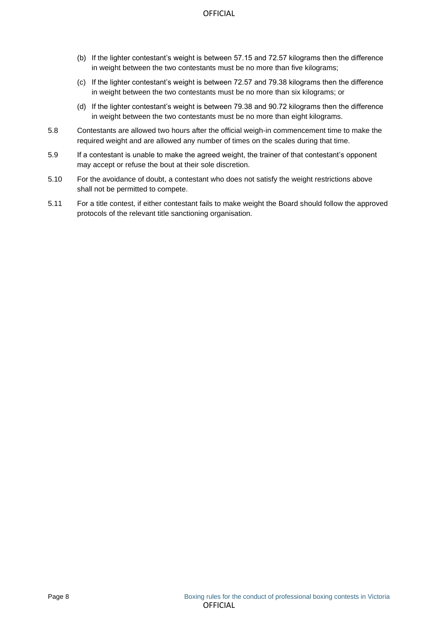- (b) If the lighter contestant's weight is between 57.15 and 72.57 kilograms then the difference in weight between the two contestants must be no more than five kilograms;
- (c) If the lighter contestant's weight is between 72.57 and 79.38 kilograms then the difference in weight between the two contestants must be no more than six kilograms; or
- (d) If the lighter contestant's weight is between 79.38 and 90.72 kilograms then the difference in weight between the two contestants must be no more than eight kilograms.
- 5.8 Contestants are allowed two hours after the official weigh-in commencement time to make the required weight and are allowed any number of times on the scales during that time.
- 5.9 If a contestant is unable to make the agreed weight, the trainer of that contestant's opponent may accept or refuse the bout at their sole discretion.
- 5.10 For the avoidance of doubt, a contestant who does not satisfy the weight restrictions above shall not be permitted to compete.
- 5.11 For a title contest, if either contestant fails to make weight the Board should follow the approved protocols of the relevant title sanctioning organisation.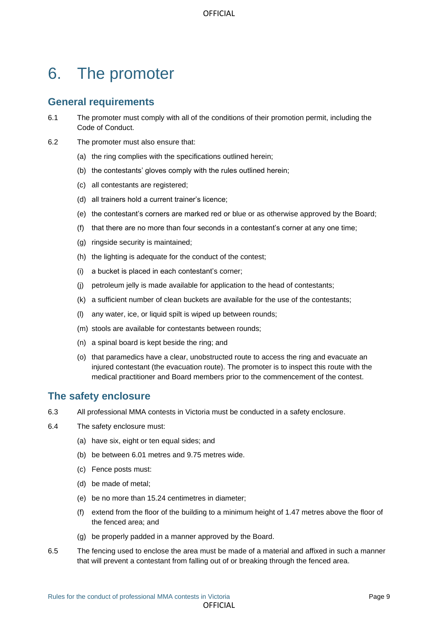## <span id="page-8-0"></span>6. The promoter

#### <span id="page-8-1"></span>**General requirements**

- 6.1 The promoter must comply with all of the conditions of their promotion permit, including the Code of Conduct.
- 6.2 The promoter must also ensure that:
	- (a) the ring complies with the specifications outlined herein;
	- (b) the contestants' gloves comply with the rules outlined herein;
	- (c) all contestants are registered;
	- (d) all trainers hold a current trainer's licence;
	- (e) the contestant's corners are marked red or blue or as otherwise approved by the Board;
	- (f) that there are no more than four seconds in a contestant's corner at any one time;
	- (g) ringside security is maintained;
	- (h) the lighting is adequate for the conduct of the contest;
	- (i) a bucket is placed in each contestant's corner;
	- (j) petroleum jelly is made available for application to the head of contestants;
	- (k) a sufficient number of clean buckets are available for the use of the contestants;
	- (l) any water, ice, or liquid spilt is wiped up between rounds;
	- (m) stools are available for contestants between rounds;
	- (n) a spinal board is kept beside the ring; and
	- (o) that paramedics have a clear, unobstructed route to access the ring and evacuate an injured contestant (the evacuation route). The promoter is to inspect this route with the medical practitioner and Board members prior to the commencement of the contest.

#### <span id="page-8-2"></span>**The safety enclosure**

- 6.3 All professional MMA contests in Victoria must be conducted in a safety enclosure.
- 6.4 The safety enclosure must:
	- (a) have six, eight or ten equal sides; and
	- (b) be between 6.01 metres and 9.75 metres wide.
	- (c) Fence posts must:
	- (d) be made of metal;
	- (e) be no more than 15.24 centimetres in diameter;
	- (f) extend from the floor of the building to a minimum height of 1.47 metres above the floor of the fenced area; and
	- (g) be properly padded in a manner approved by the Board.
- 6.5 The fencing used to enclose the area must be made of a material and affixed in such a manner that will prevent a contestant from falling out of or breaking through the fenced area.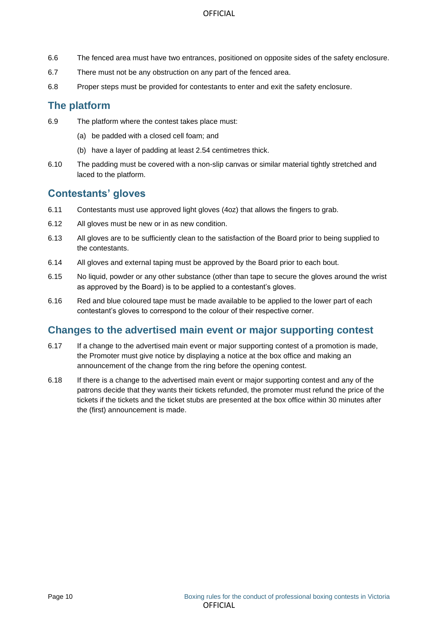- 6.6 The fenced area must have two entrances, positioned on opposite sides of the safety enclosure.
- 6.7 There must not be any obstruction on any part of the fenced area.
- 6.8 Proper steps must be provided for contestants to enter and exit the safety enclosure.

#### <span id="page-9-0"></span>**The platform**

- 6.9 The platform where the contest takes place must:
	- (a) be padded with a closed cell foam; and
	- (b) have a layer of padding at least 2.54 centimetres thick.
- 6.10 The padding must be covered with a non-slip canvas or similar material tightly stretched and laced to the platform.

#### <span id="page-9-1"></span>**Contestants' gloves**

- 6.11 Contestants must use approved light gloves (4oz) that allows the fingers to grab.
- 6.12 All gloves must be new or in as new condition.
- 6.13 All gloves are to be sufficiently clean to the satisfaction of the Board prior to being supplied to the contestants.
- 6.14 All gloves and external taping must be approved by the Board prior to each bout.
- 6.15 No liquid, powder or any other substance (other than tape to secure the gloves around the wrist as approved by the Board) is to be applied to a contestant's gloves.
- 6.16 Red and blue coloured tape must be made available to be applied to the lower part of each contestant's gloves to correspond to the colour of their respective corner.

#### <span id="page-9-2"></span>**Changes to the advertised main event or major supporting contest**

- 6.17 If a change to the advertised main event or major supporting contest of a promotion is made, the Promoter must give notice by displaying a notice at the box office and making an announcement of the change from the ring before the opening contest.
- 6.18 If there is a change to the advertised main event or major supporting contest and any of the patrons decide that they wants their tickets refunded, the promoter must refund the price of the tickets if the tickets and the ticket stubs are presented at the box office within 30 minutes after the (first) announcement is made.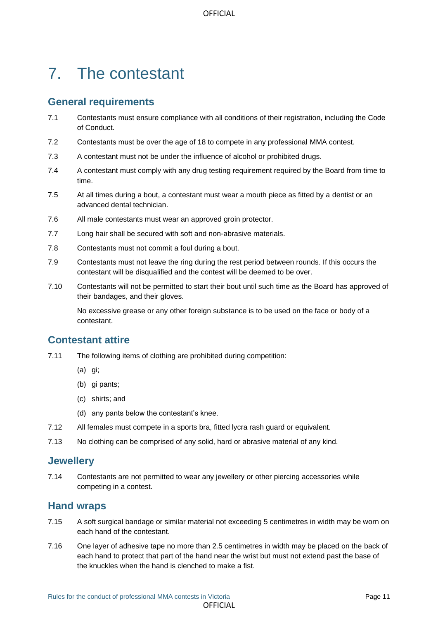# <span id="page-10-0"></span>7. The contestant

## <span id="page-10-1"></span>**General requirements**

- 7.1 Contestants must ensure compliance with all conditions of their registration, including the Code of Conduct.
- 7.2 Contestants must be over the age of 18 to compete in any professional MMA contest.
- 7.3 A contestant must not be under the influence of alcohol or prohibited drugs.
- 7.4 A contestant must comply with any drug testing requirement required by the Board from time to time.
- 7.5 At all times during a bout, a contestant must wear a mouth piece as fitted by a dentist or an advanced dental technician.
- 7.6 All male contestants must wear an approved groin protector.
- 7.7 Long hair shall be secured with soft and non-abrasive materials.
- 7.8 Contestants must not commit a foul during a bout.
- 7.9 Contestants must not leave the ring during the rest period between rounds. If this occurs the contestant will be disqualified and the contest will be deemed to be over.
- 7.10 Contestants will not be permitted to start their bout until such time as the Board has approved of their bandages, and their gloves.

No excessive grease or any other foreign substance is to be used on the face or body of a contestant.

## <span id="page-10-2"></span>**Contestant attire**

- 7.11 The following items of clothing are prohibited during competition:
	- (a) gi;
	- (b) gi pants;
	- (c) shirts; and
	- (d) any pants below the contestant's knee.
- 7.12 All females must compete in a sports bra, fitted lycra rash guard or equivalent.
- 7.13 No clothing can be comprised of any solid, hard or abrasive material of any kind.

#### <span id="page-10-3"></span>**Jewellery**

7.14 Contestants are not permitted to wear any jewellery or other piercing accessories while competing in a contest.

#### <span id="page-10-4"></span>**Hand wraps**

- 7.15 A soft surgical bandage or similar material not exceeding 5 centimetres in width may be worn on each hand of the contestant.
- 7.16 One layer of adhesive tape no more than 2.5 centimetres in width may be placed on the back of each hand to protect that part of the hand near the wrist but must not extend past the base of the knuckles when the hand is clenched to make a fist.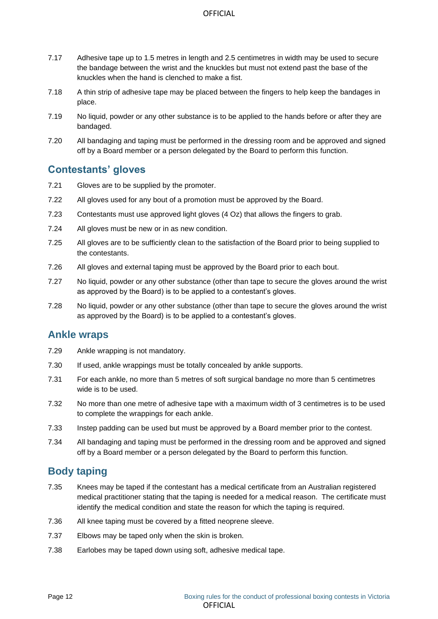- 7.17 Adhesive tape up to 1.5 metres in length and 2.5 centimetres in width may be used to secure the bandage between the wrist and the knuckles but must not extend past the base of the knuckles when the hand is clenched to make a fist.
- 7.18 A thin strip of adhesive tape may be placed between the fingers to help keep the bandages in place.
- 7.19 No liquid, powder or any other substance is to be applied to the hands before or after they are bandaged.
- 7.20 All bandaging and taping must be performed in the dressing room and be approved and signed off by a Board member or a person delegated by the Board to perform this function.

## <span id="page-11-0"></span>**Contestants' gloves**

- 7.21 Gloves are to be supplied by the promoter.
- 7.22 All gloves used for any bout of a promotion must be approved by the Board.
- 7.23 Contestants must use approved light gloves (4 Oz) that allows the fingers to grab.
- 7.24 All gloves must be new or in as new condition.
- 7.25 All gloves are to be sufficiently clean to the satisfaction of the Board prior to being supplied to the contestants.
- 7.26 All gloves and external taping must be approved by the Board prior to each bout.
- 7.27 No liquid, powder or any other substance (other than tape to secure the gloves around the wrist as approved by the Board) is to be applied to a contestant's gloves.
- 7.28 No liquid, powder or any other substance (other than tape to secure the gloves around the wrist as approved by the Board) is to be applied to a contestant's gloves.

#### <span id="page-11-1"></span>**Ankle wraps**

- 7.29 Ankle wrapping is not mandatory.
- 7.30 If used, ankle wrappings must be totally concealed by ankle supports.
- 7.31 For each ankle, no more than 5 metres of soft surgical bandage no more than 5 centimetres wide is to be used.
- 7.32 No more than one metre of adhesive tape with a maximum width of 3 centimetres is to be used to complete the wrappings for each ankle.
- 7.33 Instep padding can be used but must be approved by a Board member prior to the contest.
- 7.34 All bandaging and taping must be performed in the dressing room and be approved and signed off by a Board member or a person delegated by the Board to perform this function.

## <span id="page-11-2"></span>**Body taping**

- 7.35 Knees may be taped if the contestant has a medical certificate from an Australian registered medical practitioner stating that the taping is needed for a medical reason. The certificate must identify the medical condition and state the reason for which the taping is required.
- 7.36 All knee taping must be covered by a fitted neoprene sleeve.
- 7.37 Elbows may be taped only when the skin is broken.
- 7.38 Earlobes may be taped down using soft, adhesive medical tape.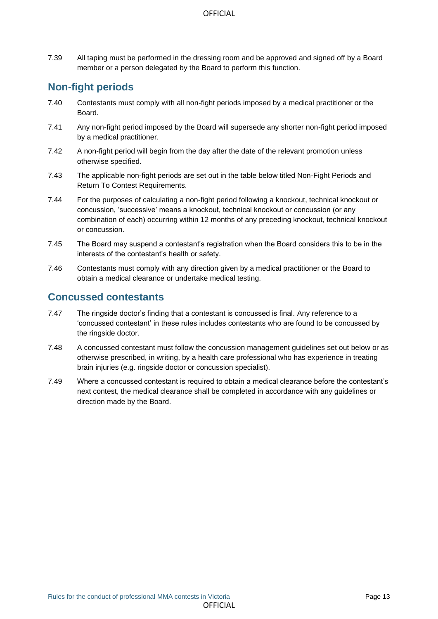7.39 All taping must be performed in the dressing room and be approved and signed off by a Board member or a person delegated by the Board to perform this function.

## <span id="page-12-0"></span>**Non-fight periods**

- 7.40 Contestants must comply with all non-fight periods imposed by a medical practitioner or the Board.
- 7.41 Any non-fight period imposed by the Board will supersede any shorter non-fight period imposed by a medical practitioner.
- 7.42 A non-fight period will begin from the day after the date of the relevant promotion unless otherwise specified.
- 7.43 The applicable non-fight periods are set out in the table below titled Non-Fight Periods and Return To Contest Requirements.
- 7.44 For the purposes of calculating a non-fight period following a knockout, technical knockout or concussion, 'successive' means a knockout, technical knockout or concussion (or any combination of each) occurring within 12 months of any preceding knockout, technical knockout or concussion.
- 7.45 The Board may suspend a contestant's registration when the Board considers this to be in the interests of the contestant's health or safety.
- 7.46 Contestants must comply with any direction given by a medical practitioner or the Board to obtain a medical clearance or undertake medical testing.

## <span id="page-12-1"></span>**Concussed contestants**

- 7.47 The ringside doctor's finding that a contestant is concussed is final. Any reference to a 'concussed contestant' in these rules includes contestants who are found to be concussed by the ringside doctor.
- 7.48 A concussed contestant must follow the concussion management guidelines set out below or as otherwise prescribed, in writing, by a health care professional who has experience in treating brain injuries (e.g. ringside doctor or concussion specialist).
- 7.49 Where a concussed contestant is required to obtain a medical clearance before the contestant's next contest, the medical clearance shall be completed in accordance with any guidelines or direction made by the Board.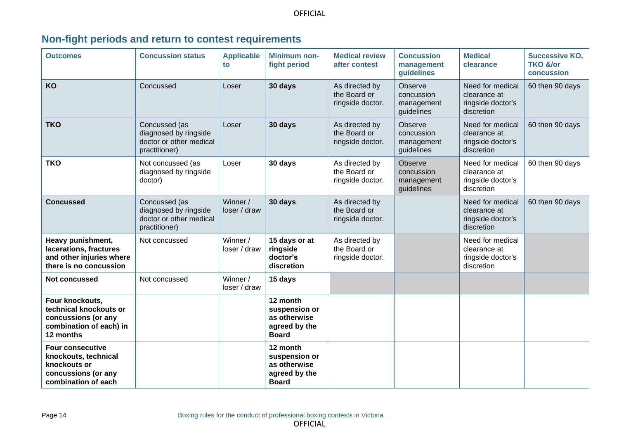|  |  |  |  |  |  | Non-fight periods and return to contest requirements |
|--|--|--|--|--|--|------------------------------------------------------|
|--|--|--|--|--|--|------------------------------------------------------|

<span id="page-13-0"></span>

| <b>Outcomes</b>                                                                                               | <b>Concussion status</b>                                                           | <b>Applicable</b><br>to  | <b>Minimum non-</b><br>fight period                                        | <b>Medical review</b><br>after contest             | <b>Concussion</b><br>management<br>guidelines     | <b>Medical</b><br>clearance                                         | <b>Successive KO.</b><br>TKO &/or<br>concussion |
|---------------------------------------------------------------------------------------------------------------|------------------------------------------------------------------------------------|--------------------------|----------------------------------------------------------------------------|----------------------------------------------------|---------------------------------------------------|---------------------------------------------------------------------|-------------------------------------------------|
| KO                                                                                                            | Concussed                                                                          | Loser                    | 30 days                                                                    | As directed by<br>the Board or<br>ringside doctor. | Observe<br>concussion<br>management<br>guidelines | Need for medical<br>clearance at<br>ringside doctor's<br>discretion | 60 then 90 days                                 |
| <b>TKO</b>                                                                                                    | Concussed (as<br>diagnosed by ringside<br>doctor or other medical<br>practitioner) | Loser                    | 30 days                                                                    | As directed by<br>the Board or<br>ringside doctor. | Observe<br>concussion<br>management<br>guidelines | Need for medical<br>clearance at<br>ringside doctor's<br>discretion | 60 then 90 days                                 |
| <b>TKO</b>                                                                                                    | Not concussed (as<br>diagnosed by ringside<br>doctor)                              | Loser                    | 30 days                                                                    | As directed by<br>the Board or<br>ringside doctor. | Observe<br>concussion<br>management<br>guidelines | Need for medical<br>clearance at<br>ringside doctor's<br>discretion | 60 then 90 days                                 |
| <b>Concussed</b>                                                                                              | Concussed (as<br>diagnosed by ringside<br>doctor or other medical<br>practitioner) | Winner /<br>loser / draw | 30 days                                                                    | As directed by<br>the Board or<br>ringside doctor. |                                                   | Need for medical<br>clearance at<br>ringside doctor's<br>discretion | 60 then 90 days                                 |
| Heavy punishment,<br>lacerations, fractures<br>and other injuries where<br>there is no concussion             | Not concussed                                                                      | Winner /<br>loser / draw | 15 days or at<br>ringside<br>doctor's<br>discretion                        | As directed by<br>the Board or<br>ringside doctor. |                                                   | Need for medical<br>clearance at<br>ringside doctor's<br>discretion |                                                 |
| Not concussed                                                                                                 | Not concussed                                                                      | Winner /<br>loser / draw | 15 days                                                                    |                                                    |                                                   |                                                                     |                                                 |
| Four knockouts,<br>technical knockouts or<br>concussions (or any<br>combination of each) in<br>12 months      |                                                                                    |                          | 12 month<br>suspension or<br>as otherwise<br>agreed by the<br><b>Board</b> |                                                    |                                                   |                                                                     |                                                 |
| <b>Four consecutive</b><br>knockouts, technical<br>knockouts or<br>concussions (or any<br>combination of each |                                                                                    |                          | 12 month<br>suspension or<br>as otherwise<br>agreed by the<br><b>Board</b> |                                                    |                                                   |                                                                     |                                                 |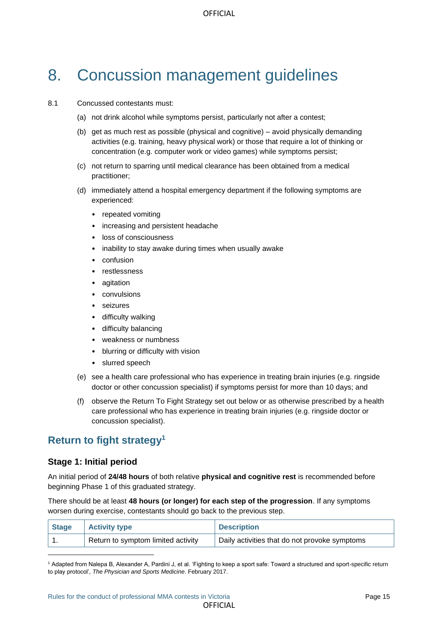# <span id="page-14-0"></span>8. Concussion management guidelines

#### 8.1 Concussed contestants must:

- (a) not drink alcohol while symptoms persist, particularly not after a contest;
- (b) get as much rest as possible (physical and cognitive) avoid physically demanding activities (e.g. training, heavy physical work) or those that require a lot of thinking or concentration (e.g. computer work or video games) while symptoms persist;
- (c) not return to sparring until medical clearance has been obtained from a medical practitioner;
- (d) immediately attend a hospital emergency department if the following symptoms are experienced:
	- repeated vomiting
	- increasing and persistent headache
	- loss of consciousness
	- inability to stay awake during times when usually awake
	- confusion
	- restlessness
	- agitation
	- convulsions
	- seizures
	- difficulty walking
	- difficulty balancing
	- weakness or numbness
	- blurring or difficulty with vision
	- slurred speech
- (e) see a health care professional who has experience in treating brain injuries (e.g. ringside doctor or other concussion specialist) if symptoms persist for more than 10 days; and
- (f) observe the Return To Fight Strategy set out below or as otherwise prescribed by a health care professional who has experience in treating brain injuries (e.g. ringside doctor or concussion specialist).

## <span id="page-14-1"></span>**Return to fight strategy<sup>1</sup>**

#### **Stage 1: Initial period**

An initial period of **24/48 hours** of both relative **physical and cognitive rest** is recommended before beginning Phase 1 of this graduated strategy.

There should be at least **48 hours (or longer) for each step of the progression**. If any symptoms worsen during exercise, contestants should go back to the previous step.

| Stage | <b>Activity type</b>               | <b>Description</b>                            |
|-------|------------------------------------|-----------------------------------------------|
|       | Return to symptom limited activity | Daily activities that do not provoke symptoms |

<sup>1</sup> Adapted from Nalepa B, Alexander A, Pardini J, et al. 'Fighting to keep a sport safe: Toward a structured and sport-specific return to play protocol', *The Physician and Sports Medicine*. February 2017.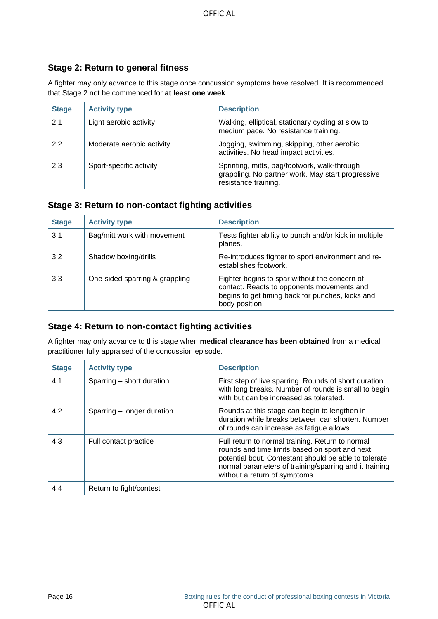#### **Stage 2: Return to general fitness**

A fighter may only advance to this stage once concussion symptoms have resolved. It is recommended that Stage 2 not be commenced for **at least one week**.

| <b>Stage</b> | <b>Activity type</b>      | <b>Description</b>                                                                                                        |
|--------------|---------------------------|---------------------------------------------------------------------------------------------------------------------------|
| 2.1          | Light aerobic activity    | Walking, elliptical, stationary cycling at slow to<br>medium pace. No resistance training.                                |
| 2.2          | Moderate aerobic activity | Jogging, swimming, skipping, other aerobic<br>activities. No head impact activities.                                      |
| 2.3          | Sport-specific activity   | Sprinting, mitts, bag/footwork, walk-through<br>grappling. No partner work. May start progressive<br>resistance training. |

#### **Stage 3: Return to non-contact fighting activities**

| <b>Stage</b> | <b>Activity type</b>           | <b>Description</b>                                                                                                                                                |
|--------------|--------------------------------|-------------------------------------------------------------------------------------------------------------------------------------------------------------------|
| 3.1          | Bag/mitt work with movement    | Tests fighter ability to punch and/or kick in multiple<br>planes.                                                                                                 |
| 3.2          | Shadow boxing/drills           | Re-introduces fighter to sport environment and re-<br>establishes footwork.                                                                                       |
| 3.3          | One-sided sparring & grappling | Fighter begins to spar without the concern of<br>contact. Reacts to opponents movements and<br>begins to get timing back for punches, kicks and<br>body position. |

#### **Stage 4: Return to non-contact fighting activities**

A fighter may only advance to this stage when **medical clearance has been obtained** from a medical practitioner fully appraised of the concussion episode.

| <b>Stage</b> | <b>Activity type</b>       | <b>Description</b>                                                                                                                                                                                                                                     |
|--------------|----------------------------|--------------------------------------------------------------------------------------------------------------------------------------------------------------------------------------------------------------------------------------------------------|
| 4.1          | Sparring - short duration  | First step of live sparring. Rounds of short duration<br>with long breaks. Number of rounds is small to begin<br>with but can be increased as tolerated.                                                                                               |
| 4.2          | Sparring – longer duration | Rounds at this stage can begin to lengthen in<br>duration while breaks between can shorten. Number<br>of rounds can increase as fatigue allows.                                                                                                        |
| 4.3          | Full contact practice      | Full return to normal training. Return to normal<br>rounds and time limits based on sport and next<br>potential bout. Contestant should be able to tolerate<br>normal parameters of training/sparring and it training<br>without a return of symptoms. |
| 4.4          | Return to fight/contest    |                                                                                                                                                                                                                                                        |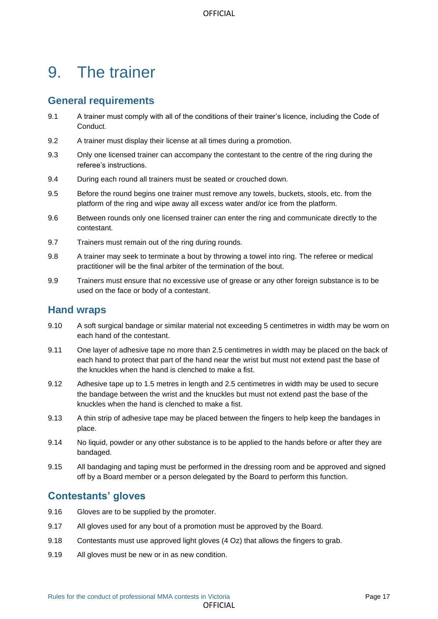## <span id="page-16-0"></span>9. The trainer

#### <span id="page-16-1"></span>**General requirements**

- 9.1 A trainer must comply with all of the conditions of their trainer's licence, including the Code of Conduct.
- 9.2 A trainer must display their license at all times during a promotion.
- 9.3 Only one licensed trainer can accompany the contestant to the centre of the ring during the referee's instructions.
- 9.4 During each round all trainers must be seated or crouched down.
- 9.5 Before the round begins one trainer must remove any towels, buckets, stools, etc. from the platform of the ring and wipe away all excess water and/or ice from the platform.
- 9.6 Between rounds only one licensed trainer can enter the ring and communicate directly to the contestant.
- 9.7 Trainers must remain out of the ring during rounds.
- 9.8 A trainer may seek to terminate a bout by throwing a towel into ring. The referee or medical practitioner will be the final arbiter of the termination of the bout.
- 9.9 Trainers must ensure that no excessive use of grease or any other foreign substance is to be used on the face or body of a contestant.

#### <span id="page-16-2"></span>**Hand wraps**

- 9.10 A soft surgical bandage or similar material not exceeding 5 centimetres in width may be worn on each hand of the contestant.
- 9.11 One layer of adhesive tape no more than 2.5 centimetres in width may be placed on the back of each hand to protect that part of the hand near the wrist but must not extend past the base of the knuckles when the hand is clenched to make a fist.
- 9.12 Adhesive tape up to 1.5 metres in length and 2.5 centimetres in width may be used to secure the bandage between the wrist and the knuckles but must not extend past the base of the knuckles when the hand is clenched to make a fist.
- 9.13 A thin strip of adhesive tape may be placed between the fingers to help keep the bandages in place.
- 9.14 No liquid, powder or any other substance is to be applied to the hands before or after they are bandaged.
- 9.15 All bandaging and taping must be performed in the dressing room and be approved and signed off by a Board member or a person delegated by the Board to perform this function.

## <span id="page-16-3"></span>**Contestants' gloves**

- 9.16 Gloves are to be supplied by the promoter.
- 9.17 All gloves used for any bout of a promotion must be approved by the Board.
- 9.18 Contestants must use approved light gloves (4 Oz) that allows the fingers to grab.
- 9.19 All gloves must be new or in as new condition.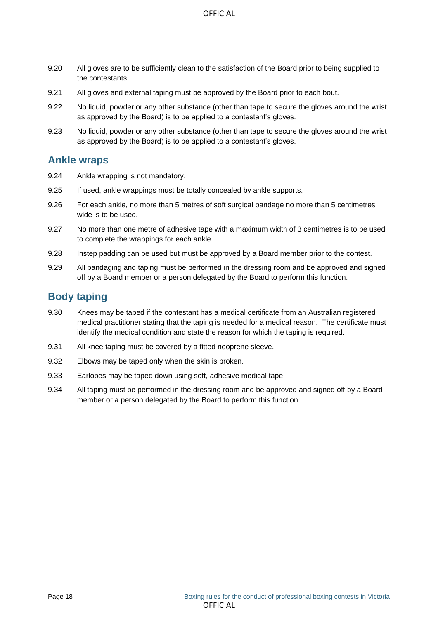- 9.20 All gloves are to be sufficiently clean to the satisfaction of the Board prior to being supplied to the contestants.
- 9.21 All gloves and external taping must be approved by the Board prior to each bout.
- 9.22 No liquid, powder or any other substance (other than tape to secure the gloves around the wrist as approved by the Board) is to be applied to a contestant's gloves.
- 9.23 No liquid, powder or any other substance (other than tape to secure the gloves around the wrist as approved by the Board) is to be applied to a contestant's gloves.

#### <span id="page-17-0"></span>**Ankle wraps**

- 9.24 Ankle wrapping is not mandatory.
- 9.25 If used, ankle wrappings must be totally concealed by ankle supports.
- 9.26 For each ankle, no more than 5 metres of soft surgical bandage no more than 5 centimetres wide is to be used.
- 9.27 No more than one metre of adhesive tape with a maximum width of 3 centimetres is to be used to complete the wrappings for each ankle.
- 9.28 Instep padding can be used but must be approved by a Board member prior to the contest.
- 9.29 All bandaging and taping must be performed in the dressing room and be approved and signed off by a Board member or a person delegated by the Board to perform this function.

## <span id="page-17-1"></span>**Body taping**

- 9.30 Knees may be taped if the contestant has a medical certificate from an Australian registered medical practitioner stating that the taping is needed for a medical reason. The certificate must identify the medical condition and state the reason for which the taping is required.
- 9.31 All knee taping must be covered by a fitted neoprene sleeve.
- 9.32 Elbows may be taped only when the skin is broken.
- 9.33 Earlobes may be taped down using soft, adhesive medical tape.
- 9.34 All taping must be performed in the dressing room and be approved and signed off by a Board member or a person delegated by the Board to perform this function..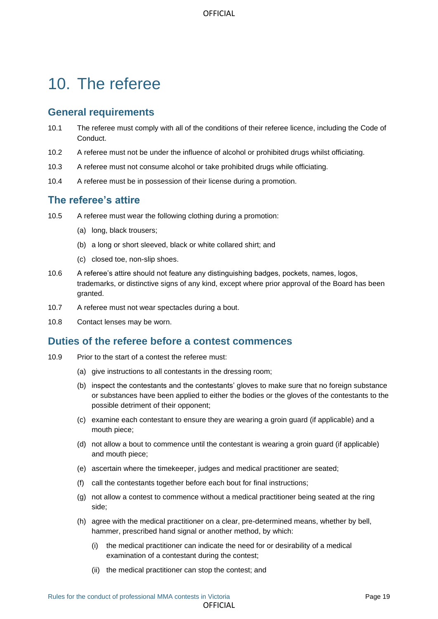## <span id="page-18-0"></span>10. The referee

## <span id="page-18-1"></span>**General requirements**

- 10.1 The referee must comply with all of the conditions of their referee licence, including the Code of Conduct.
- 10.2 A referee must not be under the influence of alcohol or prohibited drugs whilst officiating.
- 10.3 A referee must not consume alcohol or take prohibited drugs while officiating.
- 10.4 A referee must be in possession of their license during a promotion.

## <span id="page-18-2"></span>**The referee's attire**

- 10.5 A referee must wear the following clothing during a promotion:
	- (a) long, black trousers;
	- (b) a long or short sleeved, black or white collared shirt; and
	- (c) closed toe, non-slip shoes.
- 10.6 A referee's attire should not feature any distinguishing badges, pockets, names, logos, trademarks, or distinctive signs of any kind, except where prior approval of the Board has been granted.
- 10.7 A referee must not wear spectacles during a bout.
- 10.8 Contact lenses may be worn.

#### <span id="page-18-3"></span>**Duties of the referee before a contest commences**

- 10.9 Prior to the start of a contest the referee must:
	- (a) give instructions to all contestants in the dressing room;
	- (b) inspect the contestants and the contestants' gloves to make sure that no foreign substance or substances have been applied to either the bodies or the gloves of the contestants to the possible detriment of their opponent;
	- (c) examine each contestant to ensure they are wearing a groin guard (if applicable) and a mouth piece;
	- (d) not allow a bout to commence until the contestant is wearing a groin guard (if applicable) and mouth piece;
	- (e) ascertain where the timekeeper, judges and medical practitioner are seated;
	- (f) call the contestants together before each bout for final instructions;
	- (g) not allow a contest to commence without a medical practitioner being seated at the ring side;
	- (h) agree with the medical practitioner on a clear, pre-determined means, whether by bell, hammer, prescribed hand signal or another method, by which:
		- (i) the medical practitioner can indicate the need for or desirability of a medical examination of a contestant during the contest;
		- (ii) the medical practitioner can stop the contest; and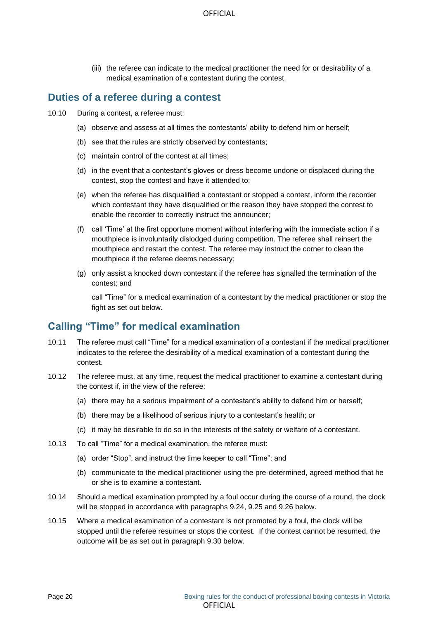(iii) the referee can indicate to the medical practitioner the need for or desirability of a medical examination of a contestant during the contest.

## <span id="page-19-0"></span>**Duties of a referee during a contest**

- 10.10 During a contest, a referee must:
	- (a) observe and assess at all times the contestants' ability to defend him or herself;
	- (b) see that the rules are strictly observed by contestants;
	- (c) maintain control of the contest at all times;
	- (d) in the event that a contestant's gloves or dress become undone or displaced during the contest, stop the contest and have it attended to;
	- (e) when the referee has disqualified a contestant or stopped a contest, inform the recorder which contestant they have disqualified or the reason they have stopped the contest to enable the recorder to correctly instruct the announcer;
	- (f) call 'Time' at the first opportune moment without interfering with the immediate action if a mouthpiece is involuntarily dislodged during competition. The referee shall reinsert the mouthpiece and restart the contest. The referee may instruct the corner to clean the mouthpiece if the referee deems necessary;
	- (g) only assist a knocked down contestant if the referee has signalled the termination of the contest; and

call "Time" for a medical examination of a contestant by the medical practitioner or stop the fight as set out below.

## <span id="page-19-1"></span>**Calling "Time" for medical examination**

- 10.11 The referee must call "Time" for a medical examination of a contestant if the medical practitioner indicates to the referee the desirability of a medical examination of a contestant during the contest.
- 10.12 The referee must, at any time, request the medical practitioner to examine a contestant during the contest if, in the view of the referee:
	- (a) there may be a serious impairment of a contestant's ability to defend him or herself;
	- (b) there may be a likelihood of serious injury to a contestant's health; or
	- (c) it may be desirable to do so in the interests of the safety or welfare of a contestant.
- 10.13 To call "Time" for a medical examination, the referee must:
	- (a) order "Stop", and instruct the time keeper to call "Time"; and
	- (b) communicate to the medical practitioner using the pre-determined, agreed method that he or she is to examine a contestant.
- 10.14 Should a medical examination prompted by a foul occur during the course of a round, the clock will be stopped in accordance with paragraphs 9.24, 9.25 and 9.26 below.
- 10.15 Where a medical examination of a contestant is not promoted by a foul, the clock will be stopped until the referee resumes or stops the contest. If the contest cannot be resumed, the outcome will be as set out in paragraph 9.30 below.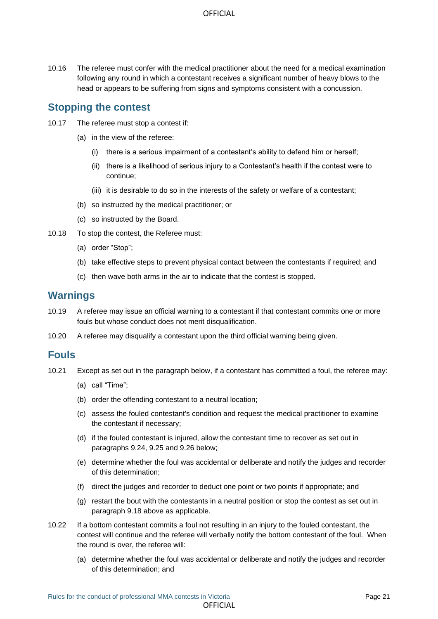10.16 The referee must confer with the medical practitioner about the need for a medical examination following any round in which a contestant receives a significant number of heavy blows to the head or appears to be suffering from signs and symptoms consistent with a concussion.

#### <span id="page-20-0"></span>**Stopping the contest**

- 10.17 The referee must stop a contest if:
	- (a) in the view of the referee:
		- (i) there is a serious impairment of a contestant's ability to defend him or herself;
		- (ii) there is a likelihood of serious injury to a Contestant's health if the contest were to continue;
		- (iii) it is desirable to do so in the interests of the safety or welfare of a contestant;
	- (b) so instructed by the medical practitioner; or
	- (c) so instructed by the Board.
- 10.18 To stop the contest, the Referee must:
	- (a) order "Stop";
	- (b) take effective steps to prevent physical contact between the contestants if required; and
	- (c) then wave both arms in the air to indicate that the contest is stopped.

#### <span id="page-20-1"></span>**Warnings**

- 10.19 A referee may issue an official warning to a contestant if that contestant commits one or more fouls but whose conduct does not merit disqualification.
- 10.20 A referee may disqualify a contestant upon the third official warning being given.

#### <span id="page-20-2"></span>**Fouls**

- 10.21 Except as set out in the paragraph below, if a contestant has committed a foul, the referee may:
	- (a) call "Time";
	- (b) order the offending contestant to a neutral location;
	- (c) assess the fouled contestant's condition and request the medical practitioner to examine the contestant if necessary;
	- (d) if the fouled contestant is injured, allow the contestant time to recover as set out in paragraphs 9.24, 9.25 and 9.26 below;
	- (e) determine whether the foul was accidental or deliberate and notify the judges and recorder of this determination;
	- (f) direct the judges and recorder to deduct one point or two points if appropriate; and
	- (g) restart the bout with the contestants in a neutral position or stop the contest as set out in paragraph 9.18 above as applicable.
- 10.22 If a bottom contestant commits a foul not resulting in an injury to the fouled contestant, the contest will continue and the referee will verbally notify the bottom contestant of the foul. When the round is over, the referee will:
	- (a) determine whether the foul was accidental or deliberate and notify the judges and recorder of this determination; and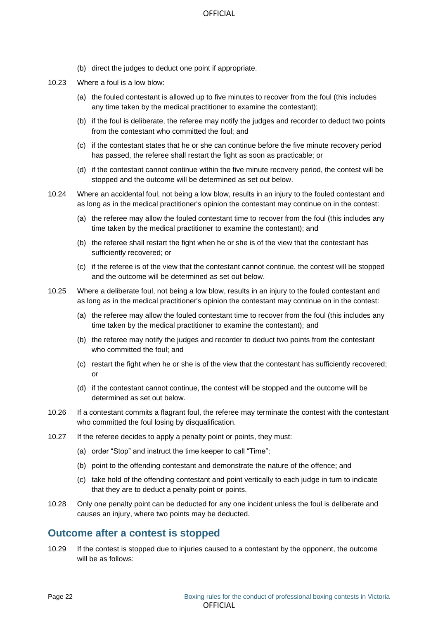- (b) direct the judges to deduct one point if appropriate.
- 10.23 Where a foul is a low blow:
	- (a) the fouled contestant is allowed up to five minutes to recover from the foul (this includes any time taken by the medical practitioner to examine the contestant);
	- (b) if the foul is deliberate, the referee may notify the judges and recorder to deduct two points from the contestant who committed the foul; and
	- (c) if the contestant states that he or she can continue before the five minute recovery period has passed, the referee shall restart the fight as soon as practicable; or
	- (d) if the contestant cannot continue within the five minute recovery period, the contest will be stopped and the outcome will be determined as set out below.
- 10.24 Where an accidental foul, not being a low blow, results in an injury to the fouled contestant and as long as in the medical practitioner's opinion the contestant may continue on in the contest:
	- (a) the referee may allow the fouled contestant time to recover from the foul (this includes any time taken by the medical practitioner to examine the contestant); and
	- (b) the referee shall restart the fight when he or she is of the view that the contestant has sufficiently recovered; or
	- (c) if the referee is of the view that the contestant cannot continue, the contest will be stopped and the outcome will be determined as set out below.
- 10.25 Where a deliberate foul, not being a low blow, results in an injury to the fouled contestant and as long as in the medical practitioner's opinion the contestant may continue on in the contest:
	- (a) the referee may allow the fouled contestant time to recover from the foul (this includes any time taken by the medical practitioner to examine the contestant); and
	- (b) the referee may notify the judges and recorder to deduct two points from the contestant who committed the foul; and
	- (c) restart the fight when he or she is of the view that the contestant has sufficiently recovered; or
	- (d) if the contestant cannot continue, the contest will be stopped and the outcome will be determined as set out below.
- 10.26 If a contestant commits a flagrant foul, the referee may terminate the contest with the contestant who committed the foul losing by disqualification.
- 10.27 If the referee decides to apply a penalty point or points, they must:
	- (a) order "Stop" and instruct the time keeper to call "Time";
	- (b) point to the offending contestant and demonstrate the nature of the offence; and
	- (c) take hold of the offending contestant and point vertically to each judge in turn to indicate that they are to deduct a penalty point or points.
- 10.28 Only one penalty point can be deducted for any one incident unless the foul is deliberate and causes an injury, where two points may be deducted.

#### <span id="page-21-0"></span>**Outcome after a contest is stopped**

10.29 If the contest is stopped due to injuries caused to a contestant by the opponent, the outcome will be as follows: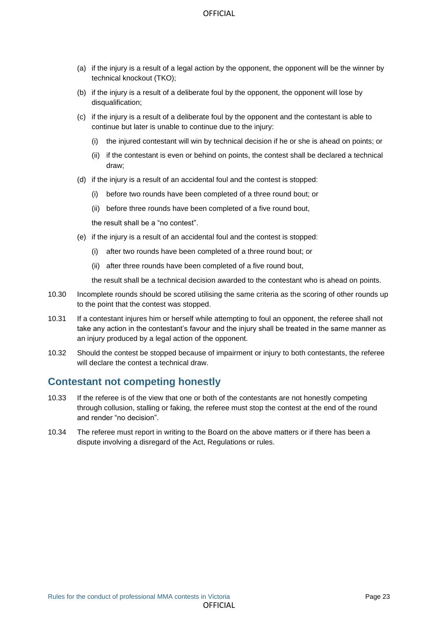- (a) if the injury is a result of a legal action by the opponent, the opponent will be the winner by technical knockout (TKO);
- (b) if the injury is a result of a deliberate foul by the opponent, the opponent will lose by disqualification;
- (c) if the injury is a result of a deliberate foul by the opponent and the contestant is able to continue but later is unable to continue due to the injury:
	- (i) the injured contestant will win by technical decision if he or she is ahead on points; or
	- (ii) if the contestant is even or behind on points, the contest shall be declared a technical draw;
- (d) if the injury is a result of an accidental foul and the contest is stopped:
	- (i) before two rounds have been completed of a three round bout; or
	- (ii) before three rounds have been completed of a five round bout,

the result shall be a "no contest".

- (e) if the injury is a result of an accidental foul and the contest is stopped:
	- (i) after two rounds have been completed of a three round bout; or
	- (ii) after three rounds have been completed of a five round bout,

the result shall be a technical decision awarded to the contestant who is ahead on points.

- 10.30 Incomplete rounds should be scored utilising the same criteria as the scoring of other rounds up to the point that the contest was stopped.
- 10.31 If a contestant injures him or herself while attempting to foul an opponent, the referee shall not take any action in the contestant's favour and the injury shall be treated in the same manner as an injury produced by a legal action of the opponent.
- 10.32 Should the contest be stopped because of impairment or injury to both contestants, the referee will declare the contest a technical draw.

#### <span id="page-22-0"></span>**Contestant not competing honestly**

- 10.33 If the referee is of the view that one or both of the contestants are not honestly competing through collusion, stalling or faking, the referee must stop the contest at the end of the round and render "no decision".
- 10.34 The referee must report in writing to the Board on the above matters or if there has been a dispute involving a disregard of the Act, Regulations or rules.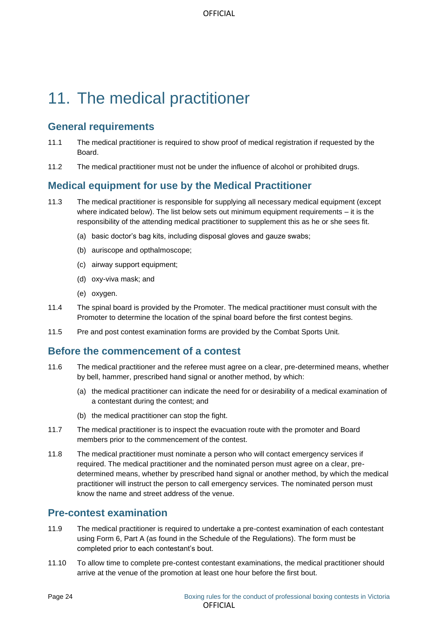# <span id="page-23-0"></span>11. The medical practitioner

## <span id="page-23-1"></span>**General requirements**

- 11.1 The medical practitioner is required to show proof of medical registration if requested by the Board.
- 11.2 The medical practitioner must not be under the influence of alcohol or prohibited drugs.

## <span id="page-23-2"></span>**Medical equipment for use by the Medical Practitioner**

- 11.3 The medical practitioner is responsible for supplying all necessary medical equipment (except where indicated below). The list below sets out minimum equipment requirements – it is the responsibility of the attending medical practitioner to supplement this as he or she sees fit.
	- (a) basic doctor's bag kits, including disposal gloves and gauze swabs;
	- (b) auriscope and opthalmoscope;
	- (c) airway support equipment;
	- (d) oxy-viva mask; and
	- (e) oxygen.
- 11.4 The spinal board is provided by the Promoter. The medical practitioner must consult with the Promoter to determine the location of the spinal board before the first contest begins.
- 11.5 Pre and post contest examination forms are provided by the Combat Sports Unit.

#### <span id="page-23-3"></span>**Before the commencement of a contest**

- 11.6 The medical practitioner and the referee must agree on a clear, pre-determined means, whether by bell, hammer, prescribed hand signal or another method, by which:
	- (a) the medical practitioner can indicate the need for or desirability of a medical examination of a contestant during the contest; and
	- (b) the medical practitioner can stop the fight.
- 11.7 The medical practitioner is to inspect the evacuation route with the promoter and Board members prior to the commencement of the contest.
- 11.8 The medical practitioner must nominate a person who will contact emergency services if required. The medical practitioner and the nominated person must agree on a clear, predetermined means, whether by prescribed hand signal or another method, by which the medical practitioner will instruct the person to call emergency services. The nominated person must know the name and street address of the venue.

## <span id="page-23-4"></span>**Pre-contest examination**

- 11.9 The medical practitioner is required to undertake a pre-contest examination of each contestant using Form 6, Part A (as found in the Schedule of the Regulations). The form must be completed prior to each contestant's bout.
- 11.10 To allow time to complete pre-contest contestant examinations, the medical practitioner should arrive at the venue of the promotion at least one hour before the first bout.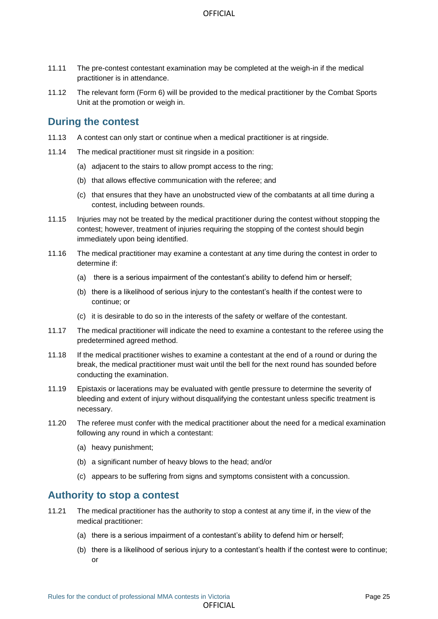- 11.11 The pre-contest contestant examination may be completed at the weigh-in if the medical practitioner is in attendance.
- 11.12 The relevant form (Form 6) will be provided to the medical practitioner by the Combat Sports Unit at the promotion or weigh in.

#### <span id="page-24-0"></span>**During the contest**

- 11.13 A contest can only start or continue when a medical practitioner is at ringside.
- 11.14 The medical practitioner must sit ringside in a position:
	- (a) adjacent to the stairs to allow prompt access to the ring;
	- (b) that allows effective communication with the referee; and
	- (c) that ensures that they have an unobstructed view of the combatants at all time during a contest, including between rounds.
- 11.15 Injuries may not be treated by the medical practitioner during the contest without stopping the contest; however, treatment of injuries requiring the stopping of the contest should begin immediately upon being identified.
- 11.16 The medical practitioner may examine a contestant at any time during the contest in order to determine if:
	- (a) there is a serious impairment of the contestant's ability to defend him or herself;
	- (b) there is a likelihood of serious injury to the contestant's health if the contest were to continue; or
	- (c) it is desirable to do so in the interests of the safety or welfare of the contestant.
- 11.17 The medical practitioner will indicate the need to examine a contestant to the referee using the predetermined agreed method.
- 11.18 If the medical practitioner wishes to examine a contestant at the end of a round or during the break, the medical practitioner must wait until the bell for the next round has sounded before conducting the examination.
- 11.19 Epistaxis or lacerations may be evaluated with gentle pressure to determine the severity of bleeding and extent of injury without disqualifying the contestant unless specific treatment is necessary.
- 11.20 The referee must confer with the medical practitioner about the need for a medical examination following any round in which a contestant:
	- (a) heavy punishment;
	- (b) a significant number of heavy blows to the head; and/or
	- (c) appears to be suffering from signs and symptoms consistent with a concussion.

#### <span id="page-24-1"></span>**Authority to stop a contest**

- 11.21 The medical practitioner has the authority to stop a contest at any time if, in the view of the medical practitioner:
	- (a) there is a serious impairment of a contestant's ability to defend him or herself;
	- (b) there is a likelihood of serious injury to a contestant's health if the contest were to continue; or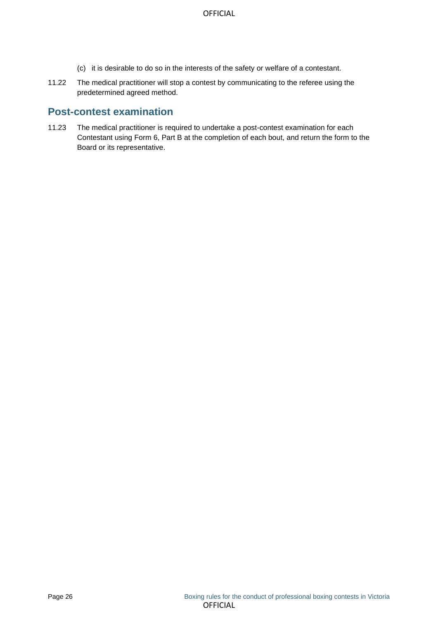- (c) it is desirable to do so in the interests of the safety or welfare of a contestant.
- 11.22 The medical practitioner will stop a contest by communicating to the referee using the predetermined agreed method.

## <span id="page-25-0"></span>**Post-contest examination**

11.23 The medical practitioner is required to undertake a post-contest examination for each Contestant using Form 6, Part B at the completion of each bout, and return the form to the Board or its representative.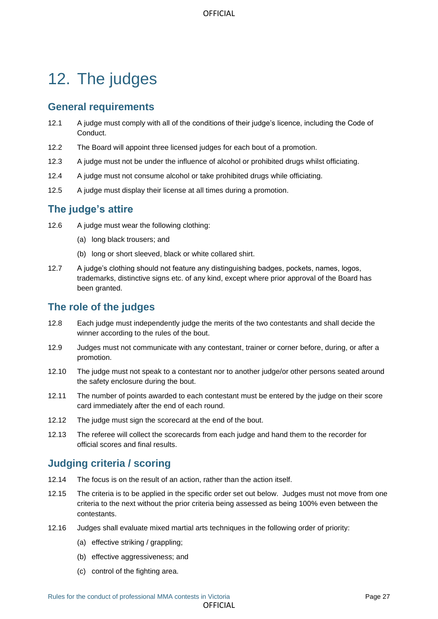# <span id="page-26-0"></span>12. The judges

## <span id="page-26-1"></span>**General requirements**

- 12.1 A judge must comply with all of the conditions of their judge's licence, including the Code of Conduct.
- 12.2 The Board will appoint three licensed judges for each bout of a promotion.
- 12.3 A judge must not be under the influence of alcohol or prohibited drugs whilst officiating.
- 12.4 A judge must not consume alcohol or take prohibited drugs while officiating.
- 12.5 A judge must display their license at all times during a promotion.

## <span id="page-26-2"></span>**The judge's attire**

- 12.6 A judge must wear the following clothing:
	- (a) long black trousers; and
	- (b) long or short sleeved, black or white collared shirt.
- 12.7 A judge's clothing should not feature any distinguishing badges, pockets, names, logos, trademarks, distinctive signs etc. of any kind, except where prior approval of the Board has been granted.

## <span id="page-26-3"></span>**The role of the judges**

- 12.8 Each judge must independently judge the merits of the two contestants and shall decide the winner according to the rules of the bout.
- 12.9 Judges must not communicate with any contestant, trainer or corner before, during, or after a promotion.
- 12.10 The judge must not speak to a contestant nor to another judge/or other persons seated around the safety enclosure during the bout.
- 12.11 The number of points awarded to each contestant must be entered by the judge on their score card immediately after the end of each round.
- 12.12 The judge must sign the scorecard at the end of the bout.
- 12.13 The referee will collect the scorecards from each judge and hand them to the recorder for official scores and final results.

## <span id="page-26-4"></span>**Judging criteria / scoring**

- 12.14 The focus is on the result of an action, rather than the action itself.
- 12.15 The criteria is to be applied in the specific order set out below. Judges must not move from one criteria to the next without the prior criteria being assessed as being 100% even between the contestants.

**OFFICIAL** 

- 12.16 Judges shall evaluate mixed martial arts techniques in the following order of priority:
	- (a) effective striking / grappling;
	- (b) effective aggressiveness; and
	- (c) control of the fighting area.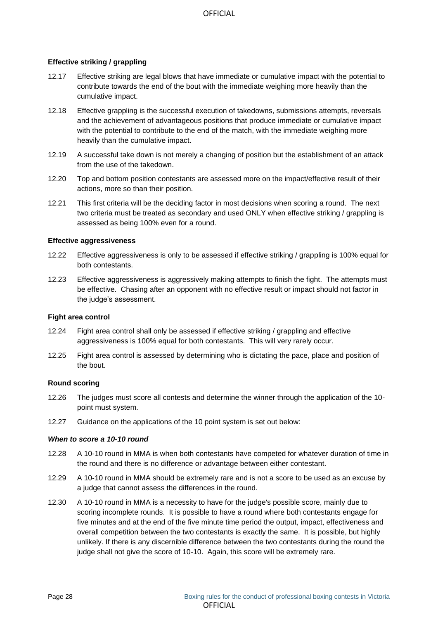#### **Effective striking / grappling**

- 12.17 Effective striking are legal blows that have immediate or cumulative impact with the potential to contribute towards the end of the bout with the immediate weighing more heavily than the cumulative impact.
- 12.18 Effective grappling is the successful execution of takedowns, submissions attempts, reversals and the achievement of advantageous positions that produce immediate or cumulative impact with the potential to contribute to the end of the match, with the immediate weighing more heavily than the cumulative impact.
- 12.19 A successful take down is not merely a changing of position but the establishment of an attack from the use of the takedown.
- 12.20 Top and bottom position contestants are assessed more on the impact/effective result of their actions, more so than their position.
- 12.21 This first criteria will be the deciding factor in most decisions when scoring a round. The next two criteria must be treated as secondary and used ONLY when effective striking / grappling is assessed as being 100% even for a round.

#### **Effective aggressiveness**

- 12.22 Effective aggressiveness is only to be assessed if effective striking / grappling is 100% equal for both contestants.
- 12.23 Effective aggressiveness is aggressively making attempts to finish the fight. The attempts must be effective. Chasing after an opponent with no effective result or impact should not factor in the judge's assessment.

#### **Fight area control**

- 12.24 Fight area control shall only be assessed if effective striking / grappling and effective aggressiveness is 100% equal for both contestants. This will very rarely occur.
- 12.25 Fight area control is assessed by determining who is dictating the pace, place and position of the bout.

#### **Round scoring**

- 12.26 The judges must score all contests and determine the winner through the application of the 10 point must system.
- 12.27 Guidance on the applications of the 10 point system is set out below:

#### *When to score a 10-10 round*

- 12.28 A 10-10 round in MMA is when both contestants have competed for whatever duration of time in the round and there is no difference or advantage between either contestant.
- 12.29 A 10-10 round in MMA should be extremely rare and is not a score to be used as an excuse by a judge that cannot assess the differences in the round.
- 12.30 A 10-10 round in MMA is a necessity to have for the judge's possible score, mainly due to scoring incomplete rounds. It is possible to have a round where both contestants engage for five minutes and at the end of the five minute time period the output, impact, effectiveness and overall competition between the two contestants is exactly the same. It is possible, but highly unlikely. If there is any discernible difference between the two contestants during the round the judge shall not give the score of 10-10. Again, this score will be extremely rare.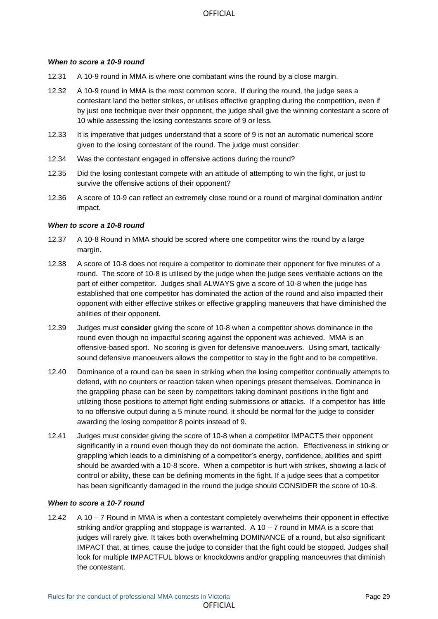#### *When to score a 10-9 round*

- 12.31 A 10-9 round in MMA is where one combatant wins the round by a close margin.
- 12.32 A 10-9 round in MMA is the most common score. If during the round, the judge sees a contestant land the better strikes, or utilises effective grappling during the competition, even if by just one technique over their opponent, the judge shall give the winning contestant a score of 10 while assessing the losing contestants score of 9 or less.
- 12.33 It is imperative that judges understand that a score of 9 is not an automatic numerical score given to the losing contestant of the round. The judge must consider:
- 12.34 Was the contestant engaged in offensive actions during the round?
- 12.35 Did the losing contestant compete with an attitude of attempting to win the fight, or just to survive the offensive actions of their opponent?
- 12.36 A score of 10-9 can reflect an extremely close round or a round of marginal domination and/or impact.

#### *When to score a 10-8 round*

- 12.37 A 10-8 Round in MMA should be scored where one competitor wins the round by a large margin.
- 12.38 A score of 10-8 does not require a competitor to dominate their opponent for five minutes of a round. The score of 10-8 is utilised by the judge when the judge sees verifiable actions on the part of either competitor. Judges shall ALWAYS give a score of 10-8 when the judge has established that one competitor has dominated the action of the round and also impacted their opponent with either effective strikes or effective grappling maneuvers that have diminished the abilities of their opponent.
- 12.39 Judges must **consider** giving the score of 10-8 when a competitor shows dominance in the round even though no impactful scoring against the opponent was achieved. MMA is an offensive-based sport. No scoring is given for defensive manoeuvers. Using smart, tacticallysound defensive manoeuvers allows the competitor to stay in the fight and to be competitive.
- 12.40 Dominance of a round can be seen in striking when the losing competitor continually attempts to defend, with no counters or reaction taken when openings present themselves. Dominance in the grappling phase can be seen by competitors taking dominant positions in the fight and utilizing those positions to attempt fight ending submissions or attacks. If a competitor has little to no offensive output during a 5 minute round, it should be normal for the judge to consider awarding the losing competitor 8 points instead of 9.
- 12.41 Judges must consider giving the score of 10-8 when a competitor IMPACTS their opponent significantly in a round even though they do not dominate the action. Effectiveness in striking or grappling which leads to a diminishing of a competitor's energy, confidence, abilities and spirit should be awarded with a 10-8 score. When a competitor is hurt with strikes, showing a lack of control or ability, these can be defining moments in the fight. If a judge sees that a competitor has been significantly damaged in the round the judge should CONSIDER the score of 10-8.

#### *When to score a 10-7 round*

12.42 A 10 – 7 Round in MMA is when a contestant completely overwhelms their opponent in effective striking and/or grappling and stoppage is warranted. A 10 – 7 round in MMA is a score that judges will rarely give. It takes both overwhelming DOMINANCE of a round, but also significant IMPACT that, at times, cause the judge to consider that the fight could be stopped. Judges shall look for multiple IMPACTFUL blows or knockdowns and/or grappling manoeuvres that diminish the contestant.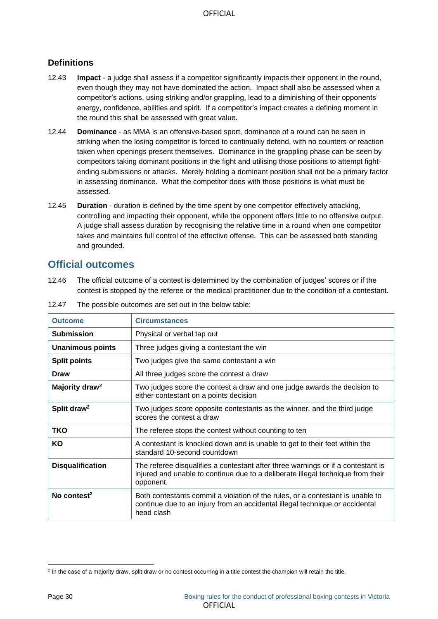#### **Definitions**

- 12.43 **Impact** a judge shall assess if a competitor significantly impacts their opponent in the round, even though they may not have dominated the action. Impact shall also be assessed when a competitor's actions, using striking and/or grappling, lead to a diminishing of their opponents' energy, confidence, abilities and spirit. If a competitor's impact creates a defining moment in the round this shall be assessed with great value.
- 12.44 **Dominance** as MMA is an offensive-based sport, dominance of a round can be seen in striking when the losing competitor is forced to continually defend, with no counters or reaction taken when openings present themselves. Dominance in the grappling phase can be seen by competitors taking dominant positions in the fight and utilising those positions to attempt fightending submissions or attacks. Merely holding a dominant position shall not be a primary factor in assessing dominance. What the competitor does with those positions is what must be assessed.
- 12.45 **Duration** duration is defined by the time spent by one competitor effectively attacking, controlling and impacting their opponent, while the opponent offers little to no offensive output. A judge shall assess duration by recognising the relative time in a round when one competitor takes and maintains full control of the effective offense. This can be assessed both standing and grounded.

#### <span id="page-29-0"></span>**Official outcomes**

12.46 The official outcome of a contest is determined by the combination of judges' scores or if the contest is stopped by the referee or the medical practitioner due to the condition of a contestant.

<span id="page-29-1"></span>

| <b>Outcome</b>             | <b>Circumstances</b>                                                                                                                                                             |
|----------------------------|----------------------------------------------------------------------------------------------------------------------------------------------------------------------------------|
| <b>Submission</b>          | Physical or verbal tap out                                                                                                                                                       |
| <b>Unanimous points</b>    | Three judges giving a contestant the win                                                                                                                                         |
| <b>Split points</b>        | Two judges give the same contestant a win                                                                                                                                        |
| <b>Draw</b>                | All three judges score the contest a draw                                                                                                                                        |
| Majority draw <sup>2</sup> | Two judges score the contest a draw and one judge awards the decision to<br>either contestant on a points decision                                                               |
| Split draw <sup>2</sup>    | Two judges score opposite contestants as the winner, and the third judge<br>scores the contest a draw                                                                            |
| <b>TKO</b>                 | The referee stops the contest without counting to ten                                                                                                                            |
| KO                         | A contestant is knocked down and is unable to get to their feet within the<br>standard 10-second countdown                                                                       |
| <b>Disqualification</b>    | The referee disqualifies a contestant after three warnings or if a contestant is<br>injured and unable to continue due to a deliberate illegal technique from their<br>opponent. |
| No contest <sup>2</sup>    | Both contestants commit a violation of the rules, or a contestant is unable to<br>continue due to an injury from an accidental illegal technique or accidental<br>head clash     |

12.47 The possible outcomes are set out in the below table:

<sup>&</sup>lt;sup>2</sup> In the case of a majority draw, split draw or no contest occurring in a title contest the champion will retain the title.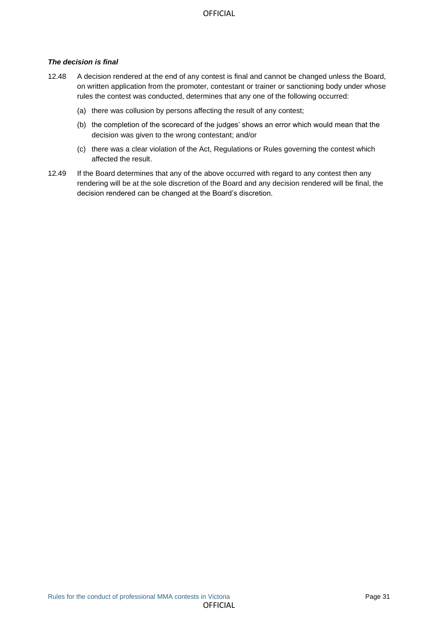#### *The decision is final*

- 12.48 A decision rendered at the end of any contest is final and cannot be changed unless the Board, on written application from the promoter, contestant or trainer or sanctioning body under whose rules the contest was conducted, determines that any one of the following occurred:
	- (a) there was collusion by persons affecting the result of any contest;
	- (b) the completion of the scorecard of the judges' shows an error which would mean that the decision was given to the wrong contestant; and/or
	- (c) there was a clear violation of the Act, Regulations or Rules governing the contest which affected the result.
- 12.49 If the Board determines that any of the above occurred with regard to any contest then any rendering will be at the sole discretion of the Board and any decision rendered will be final, the decision rendered can be changed at the Board's discretion.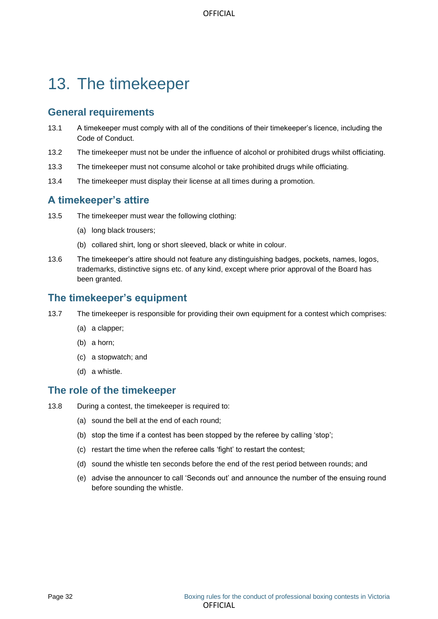## <span id="page-31-0"></span>13. The timekeeper

## <span id="page-31-1"></span>**General requirements**

- 13.1 A timekeeper must comply with all of the conditions of their timekeeper's licence, including the Code of Conduct.
- 13.2 The timekeeper must not be under the influence of alcohol or prohibited drugs whilst officiating.
- 13.3 The timekeeper must not consume alcohol or take prohibited drugs while officiating.
- 13.4 The timekeeper must display their license at all times during a promotion.

## <span id="page-31-2"></span>**A timekeeper's attire**

- 13.5 The timekeeper must wear the following clothing:
	- (a) long black trousers;
	- (b) collared shirt, long or short sleeved, black or white in colour.
- 13.6 The timekeeper's attire should not feature any distinguishing badges, pockets, names, logos, trademarks, distinctive signs etc. of any kind, except where prior approval of the Board has been granted.

#### <span id="page-31-3"></span>**The timekeeper's equipment**

- 13.7 The timekeeper is responsible for providing their own equipment for a contest which comprises:
	- (a) a clapper;
	- (b) a horn;
	- (c) a stopwatch; and
	- (d) a whistle.

#### <span id="page-31-4"></span>**The role of the timekeeper**

- 13.8 During a contest, the timekeeper is required to:
	- (a) sound the bell at the end of each round;
	- (b) stop the time if a contest has been stopped by the referee by calling 'stop';
	- (c) restart the time when the referee calls 'fight' to restart the contest;
	- (d) sound the whistle ten seconds before the end of the rest period between rounds; and
	- (e) advise the announcer to call 'Seconds out' and announce the number of the ensuing round before sounding the whistle.